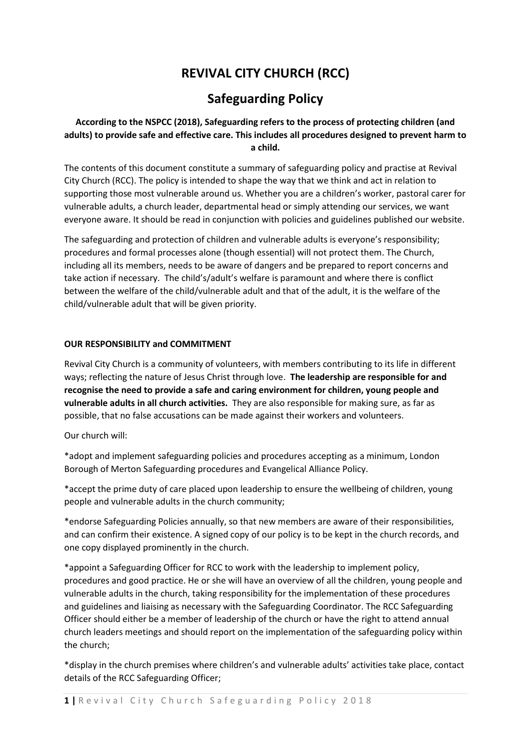# **REVIVAL CITY CHURCH (RCC)**

# **Safeguarding Policy**

# **According to the NSPCC (2018), Safeguarding refers to the process of protecting children (and adults) to provide safe and effective care. This includes all procedures designed to prevent harm to a child.**

The contents of this document constitute a summary of safeguarding policy and practise at Revival City Church (RCC). The policy is intended to shape the way that we think and act in relation to supporting those most vulnerable around us. Whether you are a children's worker, pastoral carer for vulnerable adults, a church leader, departmental head or simply attending our services, we want everyone aware. It should be read in conjunction with policies and guidelines published our website.

The safeguarding and protection of children and vulnerable adults is everyone's responsibility; procedures and formal processes alone (though essential) will not protect them. The Church, including all its members, needs to be aware of dangers and be prepared to report concerns and take action if necessary. The child's/adult's welfare is paramount and where there is conflict between the welfare of the child/vulnerable adult and that of the adult, it is the welfare of the child/vulnerable adult that will be given priority.

# **OUR RESPONSIBILITY and COMMITMENT**

Revival City Church is a community of volunteers, with members contributing to its life in different ways; reflecting the nature of Jesus Christ through love. **The leadership are responsible for and recognise the need to provide a safe and caring environment for children, young people and vulnerable adults in all church activities.** They are also responsible for making sure, as far as possible, that no false accusations can be made against their workers and volunteers.

# Our church will:

\*adopt and implement safeguarding policies and procedures accepting as a minimum, London Borough of Merton Safeguarding procedures and Evangelical Alliance Policy.

\*accept the prime duty of care placed upon leadership to ensure the wellbeing of children, young people and vulnerable adults in the church community;

\*endorse Safeguarding Policies annually, so that new members are aware of their responsibilities, and can confirm their existence. A signed copy of our policy is to be kept in the church records, and one copy displayed prominently in the church.

\*appoint a Safeguarding Officer for RCC to work with the leadership to implement policy, procedures and good practice. He or she will have an overview of all the children, young people and vulnerable adults in the church, taking responsibility for the implementation of these procedures and guidelines and liaising as necessary with the Safeguarding Coordinator. The RCC Safeguarding Officer should either be a member of leadership of the church or have the right to attend annual church leaders meetings and should report on the implementation of the safeguarding policy within the church;

\*display in the church premises where children's and vulnerable adults' activities take place, contact details of the RCC Safeguarding Officer;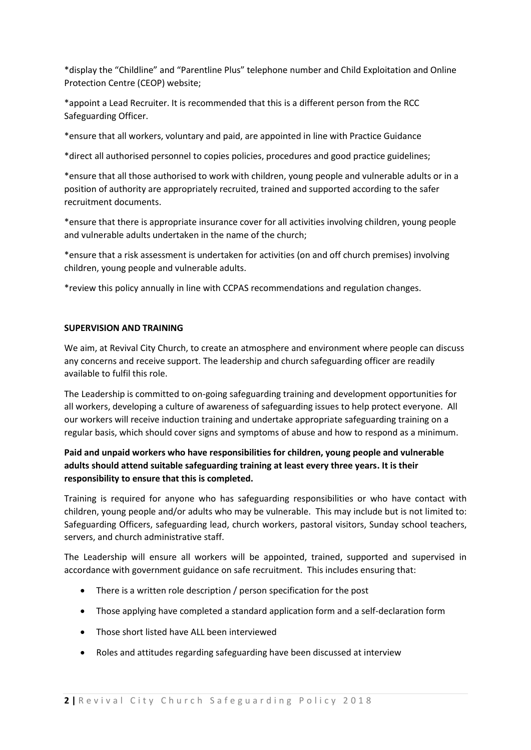\*display the "Childline" and "Parentline Plus" telephone number and Child Exploitation and Online Protection Centre (CEOP) website;

\*appoint a Lead Recruiter. It is recommended that this is a different person from the RCC Safeguarding Officer.

\*ensure that all workers, voluntary and paid, are appointed in line with Practice Guidance

\*direct all authorised personnel to copies policies, procedures and good practice guidelines;

\*ensure that all those authorised to work with children, young people and vulnerable adults or in a position of authority are appropriately recruited, trained and supported according to the safer recruitment documents.

\*ensure that there is appropriate insurance cover for all activities involving children, young people and vulnerable adults undertaken in the name of the church;

\*ensure that a risk assessment is undertaken for activities (on and off church premises) involving children, young people and vulnerable adults.

\*review this policy annually in line with CCPAS recommendations and regulation changes.

# **SUPERVISION AND TRAINING**

We aim, at Revival City Church, to create an atmosphere and environment where people can discuss any concerns and receive support. The leadership and church safeguarding officer are readily available to fulfil this role.

The Leadership is committed to on-going safeguarding training and development opportunities for all workers, developing a culture of awareness of safeguarding issues to help protect everyone. All our workers will receive induction training and undertake appropriate safeguarding training on a regular basis, which should cover signs and symptoms of abuse and how to respond as a minimum.

# **Paid and unpaid workers who have responsibilities for children, young people and vulnerable adults should attend suitable safeguarding training at least every three years. It is their responsibility to ensure that this is completed.**

Training is required for anyone who has safeguarding responsibilities or who have contact with children, young people and/or adults who may be vulnerable. This may include but is not limited to: Safeguarding Officers, safeguarding lead, church workers, pastoral visitors, Sunday school teachers, servers, and church administrative staff.

The Leadership will ensure all workers will be appointed, trained, supported and supervised in accordance with government guidance on safe recruitment. This includes ensuring that:

- There is a written role description / person specification for the post
- Those applying have completed a standard application form and a self-declaration form
- Those short listed have ALL been interviewed
- Roles and attitudes regarding safeguarding have been discussed at interview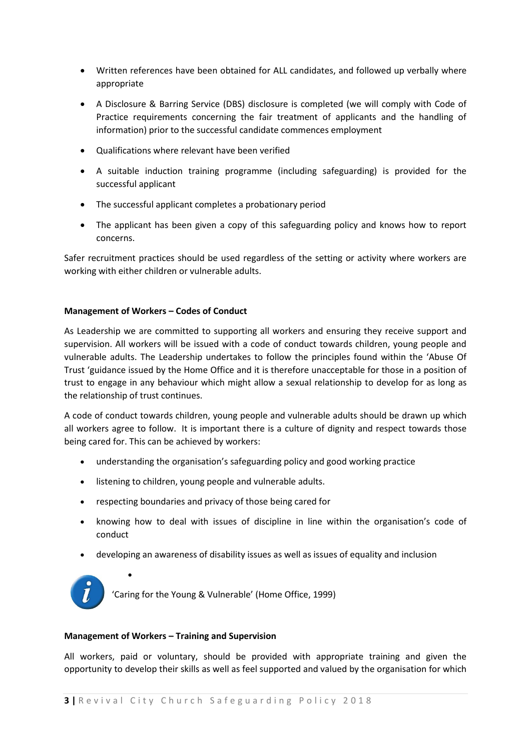- Written references have been obtained for ALL candidates, and followed up verbally where appropriate
- A Disclosure & Barring Service (DBS) disclosure is completed (we will comply with Code of Practice requirements concerning the fair treatment of applicants and the handling of information) prior to the successful candidate commences employment
- Qualifications where relevant have been verified
- A suitable induction training programme (including safeguarding) is provided for the successful applicant
- The successful applicant completes a probationary period
- The applicant has been given a copy of this safeguarding policy and knows how to report concerns.

Safer recruitment practices should be used regardless of the setting or activity where workers are working with either children or vulnerable adults.

# **Management of Workers – Codes of Conduct**

As Leadership we are committed to supporting all workers and ensuring they receive support and supervision. All workers will be issued with a code of conduct towards children, young people and vulnerable adults. The Leadership undertakes to follow the principles found within the 'Abuse Of Trust 'guidance issued by the Home Office and it is therefore unacceptable for those in a position of trust to engage in any behaviour which might allow a sexual relationship to develop for as long as the relationship of trust continues.

A code of conduct towards children, young people and vulnerable adults should be drawn up which all workers agree to follow. It is important there is a culture of dignity and respect towards those being cared for. This can be achieved by workers:

- understanding the organisation's safeguarding policy and good working practice
- listening to children, young people and vulnerable adults.
- respecting boundaries and privacy of those being cared for
- knowing how to deal with issues of discipline in line within the organisation's code of conduct
- developing an awareness of disability issues as well as issues of equality and inclusion



 $\bullet$ 

'Caring for the Young & Vulnerable' (Home Office, 1999)

# **Management of Workers – Training and Supervision**

All workers, paid or voluntary, should be provided with appropriate training and given the opportunity to develop their skills as well as feel supported and valued by the organisation for which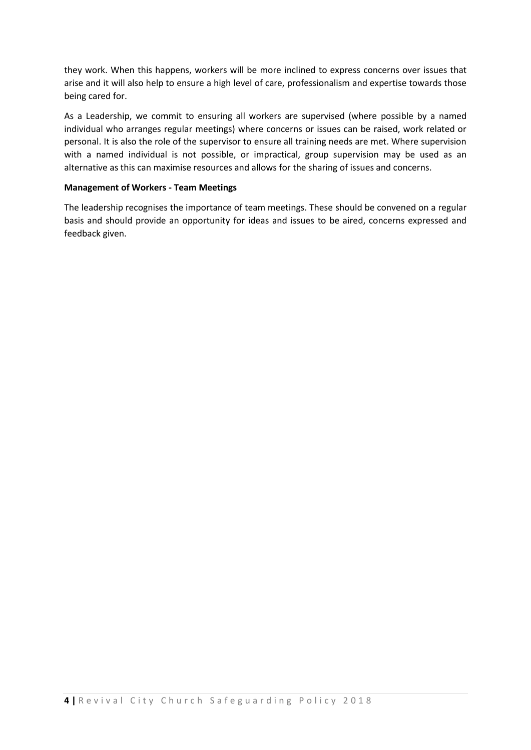they work. When this happens, workers will be more inclined to express concerns over issues that arise and it will also help to ensure a high level of care, professionalism and expertise towards those being cared for.

As a Leadership, we commit to ensuring all workers are supervised (where possible by a named individual who arranges regular meetings) where concerns or issues can be raised, work related or personal. It is also the role of the supervisor to ensure all training needs are met. Where supervision with a named individual is not possible, or impractical, group supervision may be used as an alternative as this can maximise resources and allows for the sharing of issues and concerns.

# **Management of Workers - Team Meetings**

The leadership recognises the importance of team meetings. These should be convened on a regular basis and should provide an opportunity for ideas and issues to be aired, concerns expressed and feedback given.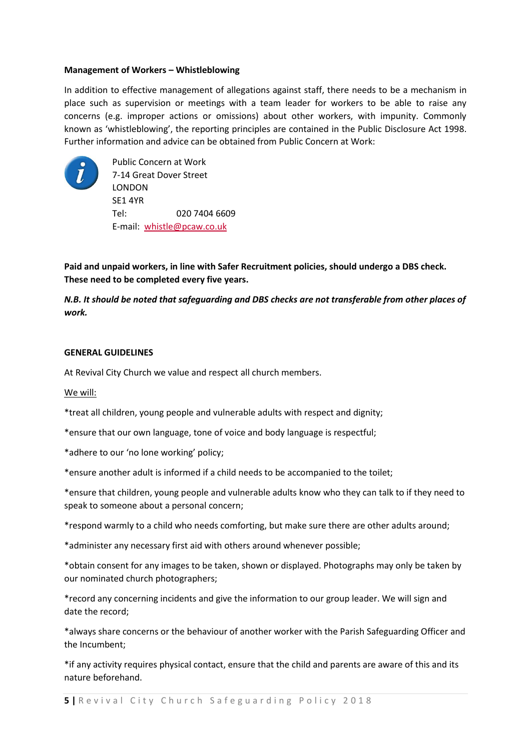## **Management of Workers – Whistleblowing**

In addition to effective management of allegations against staff, there needs to be a mechanism in place such as supervision or meetings with a team leader for workers to be able to raise any concerns (e.g. improper actions or omissions) about other workers, with impunity. Commonly known as 'whistleblowing', the reporting principles are contained in the Public Disclosure Act 1998. Further information and advice can be obtained from Public Concern at Work:



Public Concern at Work 7-14 Great Dover Street LONDON SE1 4YR Tel: 020 7404 6609 E-mail: [whistle@pcaw.co.uk](mailto:whistle@pcaw.co.uk)

**Paid and unpaid workers, in line with Safer Recruitment policies, should undergo a DBS check. These need to be completed every five years.**

*N.B. It should be noted that safeguarding and DBS checks are not transferable from other places of work.*

## **GENERAL GUIDELINES**

At Revival City Church we value and respect all church members.

### We will:

\*treat all children, young people and vulnerable adults with respect and dignity;

\*ensure that our own language, tone of voice and body language is respectful;

\*adhere to our 'no lone working' policy;

\*ensure another adult is informed if a child needs to be accompanied to the toilet;

\*ensure that children, young people and vulnerable adults know who they can talk to if they need to speak to someone about a personal concern;

\*respond warmly to a child who needs comforting, but make sure there are other adults around;

\*administer any necessary first aid with others around whenever possible;

\*obtain consent for any images to be taken, shown or displayed. Photographs may only be taken by our nominated church photographers;

\*record any concerning incidents and give the information to our group leader. We will sign and date the record;

\*always share concerns or the behaviour of another worker with the Parish Safeguarding Officer and the Incumbent;

\*if any activity requires physical contact, ensure that the child and parents are aware of this and its nature beforehand.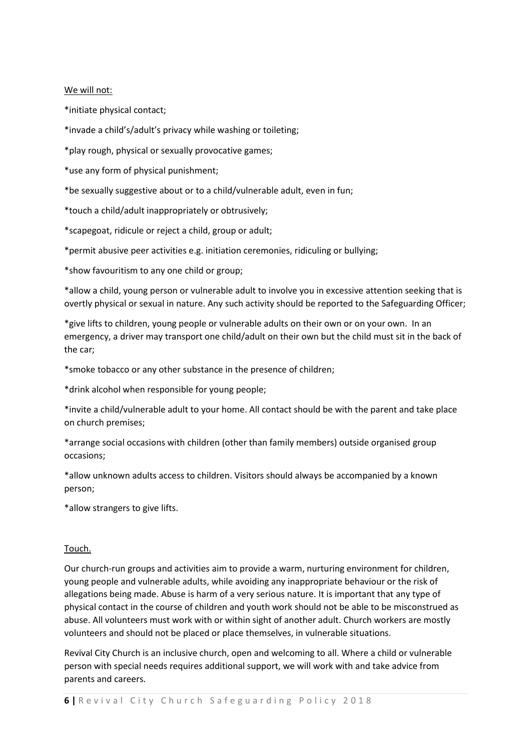# We will not:

\*initiate physical contact;

\*invade a child's/adult's privacy while washing or toileting;

\*play rough, physical or sexually provocative games;

\*use any form of physical punishment;

\*be sexually suggestive about or to a child/vulnerable adult, even in fun;

\*touch a child/adult inappropriately or obtrusively;

\*scapegoat, ridicule or reject a child, group or adult;

\*permit abusive peer activities e.g. initiation ceremonies, ridiculing or bullying;

\*show favouritism to any one child or group;

\*allow a child, young person or vulnerable adult to involve you in excessive attention seeking that is overtly physical or sexual in nature. Any such activity should be reported to the Safeguarding Officer;

\*give lifts to children, young people or vulnerable adults on their own or on your own. In an emergency, a driver may transport one child/adult on their own but the child must sit in the back of the car;

\*smoke tobacco or any other substance in the presence of children;

\*drink alcohol when responsible for young people;

\*invite a child/vulnerable adult to your home. All contact should be with the parent and take place on church premises;

\*arrange social occasions with children (other than family members) outside organised group occasions;

\*allow unknown adults access to children. Visitors should always be accompanied by a known person;

\*allow strangers to give lifts.

# Touch.

Our church-run groups and activities aim to provide a warm, nurturing environment for children, young people and vulnerable adults, while avoiding any inappropriate behaviour or the risk of allegations being made. Abuse is harm of a very serious nature. It is important that any type of physical contact in the course of children and youth work should not be able to be misconstrued as abuse. All volunteers must work with or within sight of another adult. Church workers are mostly volunteers and should not be placed or place themselves, in vulnerable situations.

Revival City Church is an inclusive church, open and welcoming to all. Where a child or vulnerable person with special needs requires additional support, we will work with and take advice from parents and careers.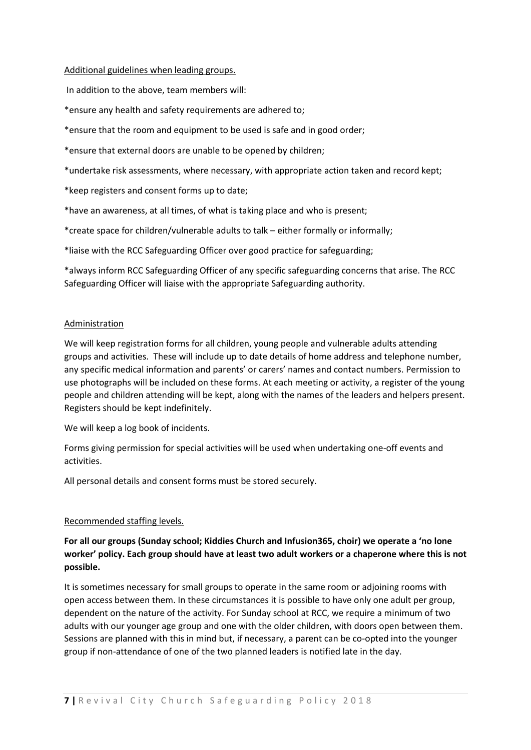## Additional guidelines when leading groups.

In addition to the above, team members will:

\*ensure any health and safety requirements are adhered to;

\*ensure that the room and equipment to be used is safe and in good order;

\*ensure that external doors are unable to be opened by children;

\*undertake risk assessments, where necessary, with appropriate action taken and record kept;

\*keep registers and consent forms up to date;

\*have an awareness, at all times, of what is taking place and who is present;

\*create space for children/vulnerable adults to talk – either formally or informally;

\*liaise with the RCC Safeguarding Officer over good practice for safeguarding;

\*always inform RCC Safeguarding Officer of any specific safeguarding concerns that arise. The RCC Safeguarding Officer will liaise with the appropriate Safeguarding authority.

# Administration

We will keep registration forms for all children, young people and vulnerable adults attending groups and activities. These will include up to date details of home address and telephone number, any specific medical information and parents' or carers' names and contact numbers. Permission to use photographs will be included on these forms. At each meeting or activity, a register of the young people and children attending will be kept, along with the names of the leaders and helpers present. Registers should be kept indefinitely.

We will keep a log book of incidents.

Forms giving permission for special activities will be used when undertaking one-off events and activities.

All personal details and consent forms must be stored securely.

# Recommended staffing levels.

**For all our groups (Sunday school; Kiddies Church and Infusion365, choir) we operate a 'no lone worker' policy. Each group should have at least two adult workers or a chaperone where this is not possible.**

It is sometimes necessary for small groups to operate in the same room or adjoining rooms with open access between them. In these circumstances it is possible to have only one adult per group, dependent on the nature of the activity. For Sunday school at RCC, we require a minimum of two adults with our younger age group and one with the older children, with doors open between them. Sessions are planned with this in mind but, if necessary, a parent can be co-opted into the younger group if non-attendance of one of the two planned leaders is notified late in the day.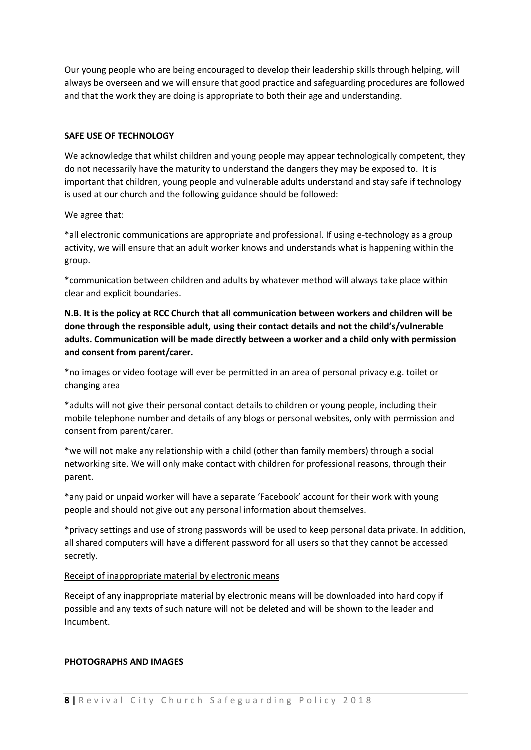Our young people who are being encouraged to develop their leadership skills through helping, will always be overseen and we will ensure that good practice and safeguarding procedures are followed and that the work they are doing is appropriate to both their age and understanding.

# **SAFE USE OF TECHNOLOGY**

We acknowledge that whilst children and young people may appear technologically competent, they do not necessarily have the maturity to understand the dangers they may be exposed to. It is important that children, young people and vulnerable adults understand and stay safe if technology is used at our church and the following guidance should be followed:

# We agree that:

\*all electronic communications are appropriate and professional. If using e-technology as a group activity, we will ensure that an adult worker knows and understands what is happening within the group.

\*communication between children and adults by whatever method will always take place within clear and explicit boundaries.

**N.B. It is the policy at RCC Church that all communication between workers and children will be done through the responsible adult, using their contact details and not the child's/vulnerable adults. Communication will be made directly between a worker and a child only with permission and consent from parent/carer.**

\*no images or video footage will ever be permitted in an area of personal privacy e.g. toilet or changing area

\*adults will not give their personal contact details to children or young people, including their mobile telephone number and details of any blogs or personal websites, only with permission and consent from parent/carer.

\*we will not make any relationship with a child (other than family members) through a social networking site. We will only make contact with children for professional reasons, through their parent.

\*any paid or unpaid worker will have a separate 'Facebook' account for their work with young people and should not give out any personal information about themselves.

\*privacy settings and use of strong passwords will be used to keep personal data private. In addition, all shared computers will have a different password for all users so that they cannot be accessed secretly.

# Receipt of inappropriate material by electronic means

Receipt of any inappropriate material by electronic means will be downloaded into hard copy if possible and any texts of such nature will not be deleted and will be shown to the leader and Incumbent.

# **PHOTOGRAPHS AND IMAGES**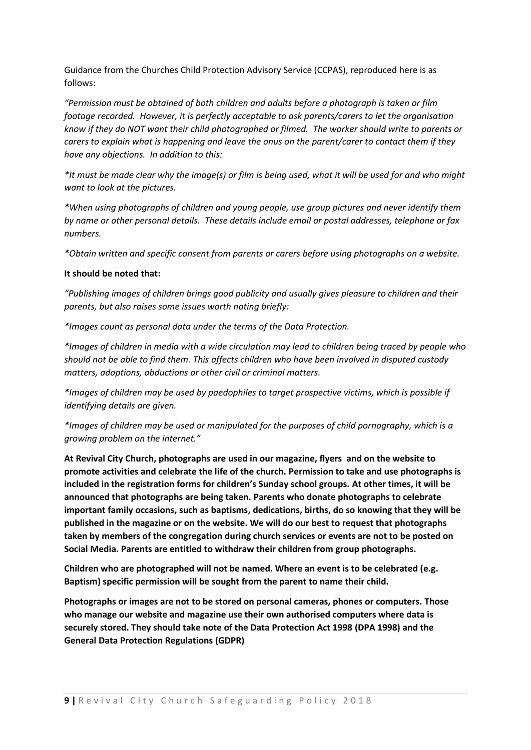Guidance from the Churches Child Protection Advisory Service (CCPAS), reproduced here is as follows:

*"Permission must be obtained of both children and adults before a photograph is taken or film footage recorded. However, it is perfectly acceptable to ask parents/carers to let the organisation know if they do NOT want their child photographed or filmed. The worker should write to parents or carers to explain what is happening and leave the onus on the parent/carer to contact them if they have any objections. In addition to this:* 

*\*It must be made clear why the image(s) or film is being used, what it will be used for and who might want to look at the pictures.* 

*\*When using photographs of children and young people, use group pictures and never identify them by name or other personal details. These details include email or postal addresses, telephone or fax numbers.* 

*\*Obtain written and specific consent from parents or carers before using photographs on a website.* 

# **It should be noted that:**

*"Publishing images of children brings good publicity and usually gives pleasure to children and their parents, but also raises some issues worth noting briefly:* 

*\*Images count as personal data under the terms of the Data Protection.* 

*\*Images of children in media with a wide circulation may lead to children being traced by people who should not be able to find them. This affects children who have been involved in disputed custody matters, adoptions, abductions or other civil or criminal matters.* 

*\*Images of children may be used by paedophiles to target prospective victims, which is possible if identifying details are given.* 

*\*Images of children may be used or manipulated for the purposes of child pornography, which is a growing problem on the internet."*

**At Revival City Church, photographs are used in our magazine, flyers and on the website to promote activities and celebrate the life of the church. Permission to take and use photographs is included in the registration forms for children's Sunday school groups. At other times, it will be announced that photographs are being taken. Parents who donate photographs to celebrate important family occasions, such as baptisms, dedications, births, do so knowing that they will be published in the magazine or on the website. We will do our best to request that photographs taken by members of the congregation during church services or events are not to be posted on Social Media. Parents are entitled to withdraw their children from group photographs.**

**Children who are photographed will not be named. Where an event is to be celebrated (e.g. Baptism) specific permission will be sought from the parent to name their child.**

**Photographs or images are not to be stored on personal cameras, phones or computers. Those who manage our website and magazine use their own authorised computers where data is securely stored. They should take note of the Data Protection Act 1998 (DPA 1998) and the General Data Protection Regulations (GDPR)**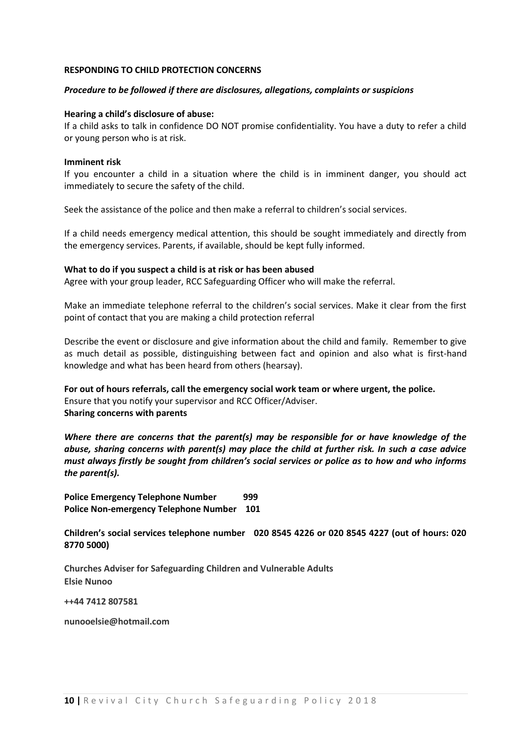### **RESPONDING TO CHILD PROTECTION CONCERNS**

### *Procedure to be followed if there are disclosures, allegations, complaints or suspicions*

#### **Hearing a child's disclosure of abuse:**

If a child asks to talk in confidence DO NOT promise confidentiality. You have a duty to refer a child or young person who is at risk.

#### **Imminent risk**

If you encounter a child in a situation where the child is in imminent danger, you should act immediately to secure the safety of the child.

Seek the assistance of the police and then make a referral to children's social services.

If a child needs emergency medical attention, this should be sought immediately and directly from the emergency services. Parents, if available, should be kept fully informed.

### **What to do if you suspect a child is at risk or has been abused**

Agree with your group leader, RCC Safeguarding Officer who will make the referral.

Make an immediate telephone referral to the children's social services. Make it clear from the first point of contact that you are making a child protection referral

Describe the event or disclosure and give information about the child and family. Remember to give as much detail as possible, distinguishing between fact and opinion and also what is first-hand knowledge and what has been heard from others (hearsay).

## **For out of hours referrals, call the emergency social work team or where urgent, the police.** Ensure that you notify your supervisor and RCC Officer/Adviser.

**Sharing concerns with parents**

*Where there are concerns that the parent(s) may be responsible for or have knowledge of the abuse, sharing concerns with parent(s) may place the child at further risk. In such a case advice must always firstly be sought from children's social services or police as to how and who informs the parent(s).*

**Police Emergency Telephone Number 999 Police Non-emergency Telephone Number 101**

**Children's social services telephone number 020 8545 4226 or 020 8545 4227 (out of hours: 020 8770 5000)**

**Churches Adviser for Safeguarding Children and Vulnerable Adults Elsie Nunoo** 

**++44 7412 807581**

**nunooelsie@hotmail.com**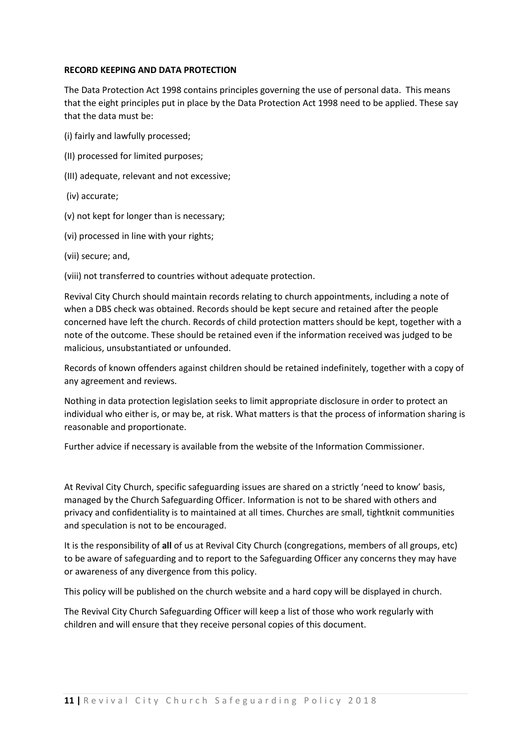## **RECORD KEEPING AND DATA PROTECTION**

The Data Protection Act 1998 contains principles governing the use of personal data. This means that the eight principles put in place by the Data Protection Act 1998 need to be applied. These say that the data must be:

- (i) fairly and lawfully processed;
- (II) processed for limited purposes;
- (III) adequate, relevant and not excessive;
- (iv) accurate;
- (v) not kept for longer than is necessary;
- (vi) processed in line with your rights;
- (vii) secure; and,

(viii) not transferred to countries without adequate protection.

Revival City Church should maintain records relating to church appointments, including a note of when a DBS check was obtained. Records should be kept secure and retained after the people concerned have left the church. Records of child protection matters should be kept, together with a note of the outcome. These should be retained even if the information received was judged to be malicious, unsubstantiated or unfounded.

Records of known offenders against children should be retained indefinitely, together with a copy of any agreement and reviews.

Nothing in data protection legislation seeks to limit appropriate disclosure in order to protect an individual who either is, or may be, at risk. What matters is that the process of information sharing is reasonable and proportionate.

Further advice if necessary is available from the website of the Information Commissioner.

At Revival City Church, specific safeguarding issues are shared on a strictly 'need to know' basis, managed by the Church Safeguarding Officer. Information is not to be shared with others and privacy and confidentiality is to maintained at all times. Churches are small, tightknit communities and speculation is not to be encouraged.

It is the responsibility of **all** of us at Revival City Church (congregations, members of all groups, etc) to be aware of safeguarding and to report to the Safeguarding Officer any concerns they may have or awareness of any divergence from this policy.

This policy will be published on the church website and a hard copy will be displayed in church.

The Revival City Church Safeguarding Officer will keep a list of those who work regularly with children and will ensure that they receive personal copies of this document.